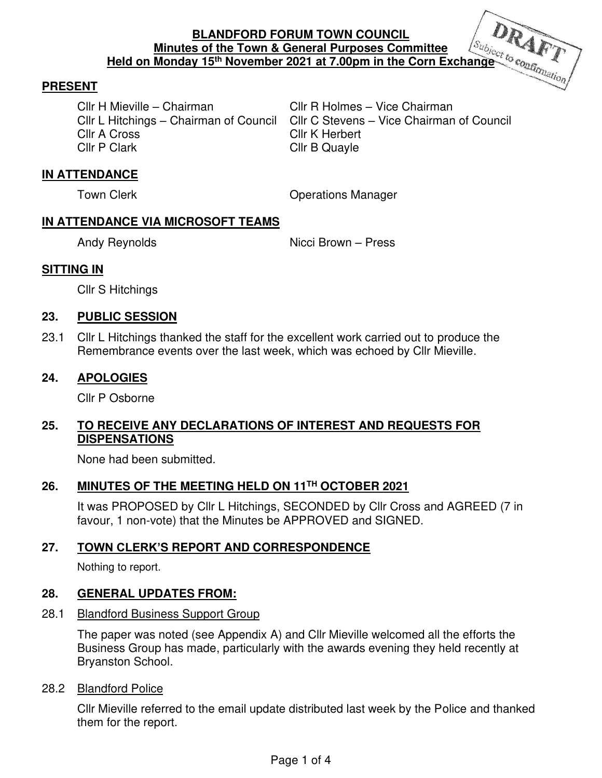### **PRESENT**

Cllr H Mieville – Chairman Cllr R Holmes – Vice Chairman Cllr A Cross Cllr K Herbert

Cllr L Hitchings – Chairman of Council Cllr C Stevens – Vice Chairman of Council Cllr B Quayle

# **IN ATTENDANCE**

Town Clerk **Contract Contract Contract Contract Contract Contract Contract Contract Contract Contract Contract Contract Contract Contract Contract Contract Contract Contract Contract Contract Contract Contract Contract Con** 

### **IN ATTENDANCE VIA MICROSOFT TEAMS**

Andy Reynolds Nicci Brown – Press

# **SITTING IN**

Cllr S Hitchings

### **23. PUBLIC SESSION**

23.1 Cllr L Hitchings thanked the staff for the excellent work carried out to produce the Remembrance events over the last week, which was echoed by Cllr Mieville.

### **24. APOLOGIES**

Cllr P Osborne

# **25. TO RECEIVE ANY DECLARATIONS OF INTEREST AND REQUESTS FOR DISPENSATIONS**

None had been submitted.

# **26. MINUTES OF THE MEETING HELD ON 11TH OCTOBER 2021**

It was PROPOSED by Cllr L Hitchings, SECONDED by Cllr Cross and AGREED (7 in favour, 1 non-vote) that the Minutes be APPROVED and SIGNED.

# **27. TOWN CLERK'S REPORT AND CORRESPONDENCE**

Nothing to report.

# **28. GENERAL UPDATES FROM:**

#### 28.1 Blandford Business Support Group

 The paper was noted (see Appendix A) and Cllr Mieville welcomed all the efforts the Business Group has made, particularly with the awards evening they held recently at Bryanston School.

# 28.2 Blandford Police

 Cllr Mieville referred to the email update distributed last week by the Police and thanked them for the report.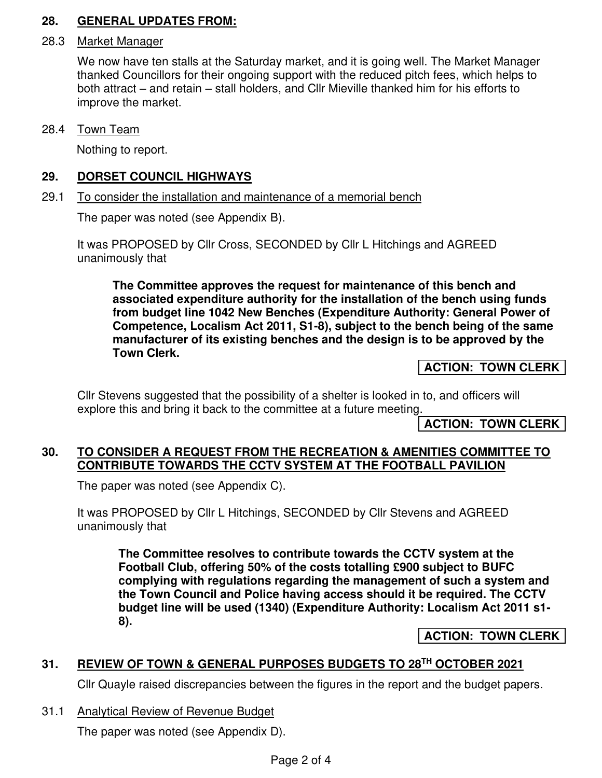# **28. GENERAL UPDATES FROM:**

#### 28.3 Market Manager

 We now have ten stalls at the Saturday market, and it is going well. The Market Manager thanked Councillors for their ongoing support with the reduced pitch fees, which helps to both attract – and retain – stall holders, and Cllr Mieville thanked him for his efforts to improve the market.

28.4 Town Team

Nothing to report.

#### **29. DORSET COUNCIL HIGHWAYS**  ٦

#### 29.1 To consider the installation and maintenance of a memorial bench

The paper was noted (see Appendix B).

It was PROPOSED by Cllr Cross, SECONDED by Cllr L Hitchings and AGREED unanimously that

**The Committee approves the request for maintenance of this bench and associated expenditure authority for the installation of the bench using funds from budget line 1042 New Benches (Expenditure Authority: General Power of Competence, Localism Act 2011, S1-8), subject to the bench being of the same manufacturer of its existing benches and the design is to be approved by the Town Clerk.** 

**ACTION: TOWN CLERK** 

Cllr Stevens suggested that the possibility of a shelter is looked in to, and officers will explore this and bring it back to the committee at a future meeting.

**ACTION: TOWN CLERK** 

### **30. TO CONSIDER A REQUEST FROM THE RECREATION & AMENITIES COMMITTEE TO CONTRIBUTE TOWARDS THE CCTV SYSTEM AT THE FOOTBALL PAVILION**

The paper was noted (see Appendix C).

It was PROPOSED by Cllr L Hitchings, SECONDED by Cllr Stevens and AGREED unanimously that

**The Committee resolves to contribute towards the CCTV system at the Football Club, offering 50% of the costs totalling £900 subject to BUFC complying with regulations regarding the management of such a system and the Town Council and Police having access should it be required. The CCTV budget line will be used (1340) (Expenditure Authority: Localism Act 2011 s1- 8).** 

# **ACTION: TOWN CLERK**

# **31. REVIEW OF TOWN & GENERAL PURPOSES BUDGETS TO 28TH OCTOBER 2021**

Cllr Quayle raised discrepancies between the figures in the report and the budget papers.

31.1 Analytical Review of Revenue Budget

The paper was noted (see Appendix D).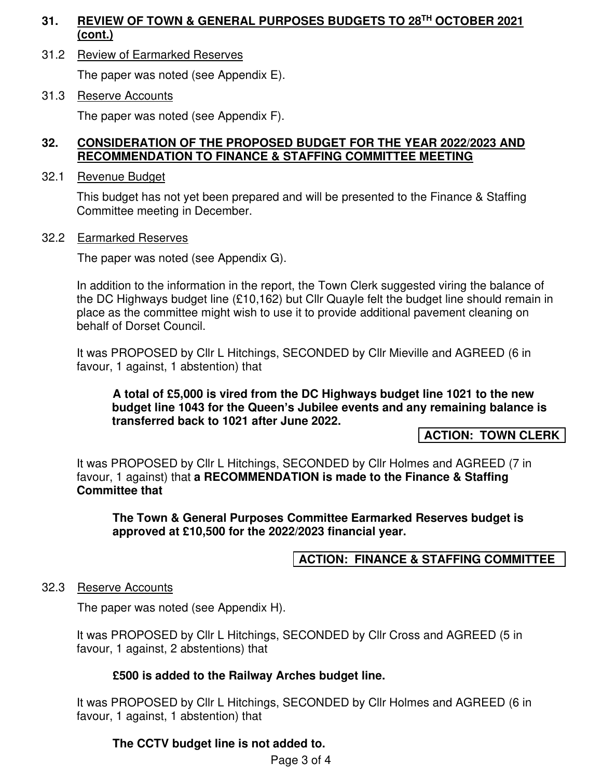# **31. REVIEW OF TOWN & GENERAL PURPOSES BUDGETS TO 28TH OCTOBER 2021 (cont.)**

31.2 Review of Earmarked Reserves

The paper was noted (see Appendix E).

31.3 Reserve Accounts

The paper was noted (see Appendix F).

### **32. CONSIDERATION OF THE PROPOSED BUDGET FOR THE YEAR 2022/2023 AND RECOMMENDATION TO FINANCE & STAFFING COMMITTEE MEETING**

32.1 Revenue Budget

This budget has not yet been prepared and will be presented to the Finance & Staffing Committee meeting in December.

### 32.2 Earmarked Reserves

The paper was noted (see Appendix G).

In addition to the information in the report, the Town Clerk suggested viring the balance of the DC Highways budget line (£10,162) but Cllr Quayle felt the budget line should remain in place as the committee might wish to use it to provide additional pavement cleaning on behalf of Dorset Council.

It was PROPOSED by Cllr L Hitchings, SECONDED by Cllr Mieville and AGREED (6 in favour, 1 against, 1 abstention) that

#### **A total of £5,000 is vired from the DC Highways budget line 1021 to the new budget line 1043 for the Queen's Jubilee events and any remaining balance is transferred back to 1021 after June 2022.**

**ACTION: TOWN CLERK** 

It was PROPOSED by Cllr L Hitchings, SECONDED by Cllr Holmes and AGREED (7 in favour, 1 against) that **a RECOMMENDATION is made to the Finance & Staffing Committee that**

**The Town & General Purposes Committee Earmarked Reserves budget is approved at £10,500 for the 2022/2023 financial year.** 

# **ACTION: FINANCE & STAFFING COMMITTEE**

#### 32.3 Reserve Accounts

The paper was noted (see Appendix H).

It was PROPOSED by Cllr L Hitchings, SECONDED by Cllr Cross and AGREED (5 in favour, 1 against, 2 abstentions) that

# **£500 is added to the Railway Arches budget line.**

It was PROPOSED by Cllr L Hitchings, SECONDED by Cllr Holmes and AGREED (6 in favour, 1 against, 1 abstention) that

# **The CCTV budget line is not added to.**

Page 3 of 4